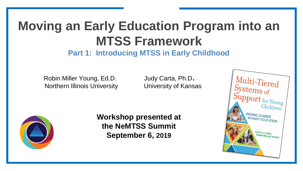# **Moving an Early Education Program into an MTSS Framework**

**Part 1: Introducing MTSS in Early Childhood**

Robin Miller Young, Ed.D. Judy Carta, Ph.D. Northern Illinois University University of Kansas

**Workshop presented at the NeMTSS Summit September 6, 2019**

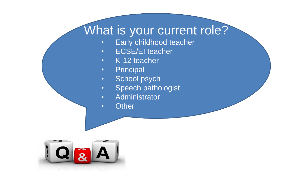#### What is your current role?

- Early childhood teacher
- **ECSE/EI** teacher
- K-12 teacher
- Principal
- School psych
- Speech pathologist
- Administrator
- Other

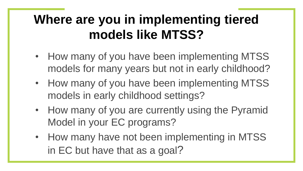## **Where are you in implementing tiered models like MTSS?**

- How many of you have been implementing MTSS models for many years but not in early childhood?
- How many of you have been implementing MTSS models in early childhood settings?
- How many of you are currently using the Pyramid Model in your EC programs?
- How many have not been implementing in MTSS in EC but have that as a goal?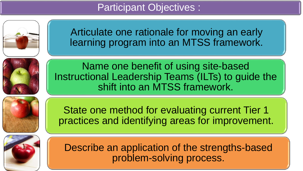Participant Objectives :



5

Articulate one rationale for moving an early learning program into an MTSS framework.



Name one benefit of using site-based Instructional Leadership Teams (ILTs) to guide the shift into an MTSS framework.



State one method for evaluating current Tier 1 practices and identifying areas for improvement.



Describe an application of the strengths-based problem-solving process.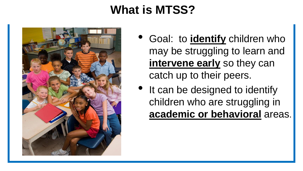### **What is MTSS?**



- Goal: to **identify** children who may be struggling to learn and **intervene early** so they can catch up to their peers.
- It can be designed to identify children who are struggling in **academic or behavioral** areas.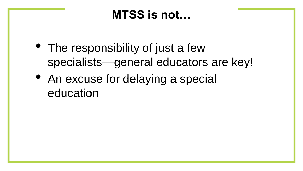#### **MTSS is not…**

- The responsibility of just a few specialists—general educators are key!
- An excuse for delaying a special education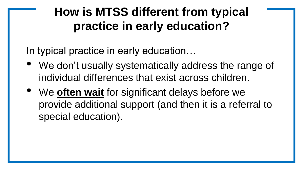### **How is MTSS different from typical practice in early education?**

In typical practice in early education…

- We don't usually systematically address the range of individual differences that exist across children.
- We **often wait** for significant delays before we provide additional support (and then it is a referral to special education).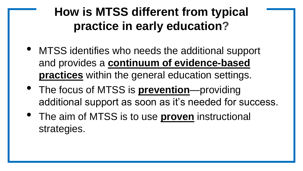### **How is MTSS different from typical practice in early education?**

- MTSS identifies who needs the additional support and provides a **continuum of evidence-based practices** within the general education settings.
- The focus of MTSS is **prevention**—providing additional support as soon as it's needed for success.
- The aim of MTSS is to use **proven** instructional strategies.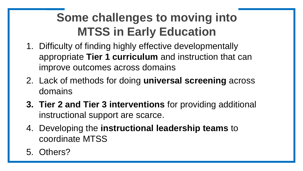### **Some challenges to moving into MTSS in Early Education**

- 1. Difficulty of finding highly effective developmentally appropriate **Tier 1 curriculum** and instruction that can improve outcomes across domains
- 2. Lack of methods for doing **universal screening** across domains
- **3. Tier 2 and Tier 3 interventions** for providing additional instructional support are scarce.
- 4. Developing the **instructional leadership teams** to coordinate MTSS
- 5. Others?